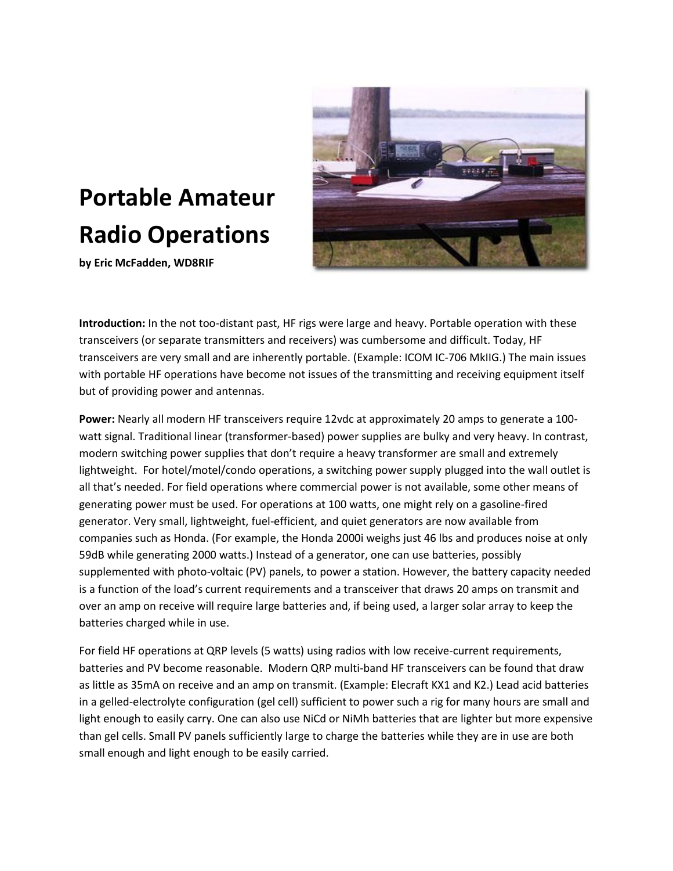# **Portable Amateur Radio Operations**

**by Eric McFadden, WD8RIF**



**Introduction:** In the not too-distant past, HF rigs were large and heavy. Portable operation with these transceivers (or separate transmitters and receivers) was cumbersome and difficult. Today, HF transceivers are very small and are inherently portable. (Example: ICOM IC-706 MkIIG.) The main issues with portable HF operations have become not issues of the transmitting and receiving equipment itself but of providing power and antennas.

**Power:** Nearly all modern HF transceivers require 12vdc at approximately 20 amps to generate a 100 watt signal. Traditional linear (transformer-based) power supplies are bulky and very heavy. In contrast, modern switching power supplies that don't require a heavy transformer are small and extremely lightweight. For hotel/motel/condo operations, a switching power supply plugged into the wall outlet is all that's needed. For field operations where commercial power is not available, some other means of generating power must be used. For operations at 100 watts, one might rely on a gasoline-fired generator. Very small, lightweight, fuel-efficient, and quiet generators are now available from companies such as Honda. (For example, the Honda 2000i weighs just 46 lbs and produces noise at only 59dB while generating 2000 watts.) Instead of a generator, one can use batteries, possibly supplemented with photo-voltaic (PV) panels, to power a station. However, the battery capacity needed is a function of the load's current requirements and a transceiver that draws 20 amps on transmit and over an amp on receive will require large batteries and, if being used, a larger solar array to keep the batteries charged while in use.

For field HF operations at QRP levels (5 watts) using radios with low receive-current requirements, batteries and PV become reasonable. Modern QRP multi-band HF transceivers can be found that draw as little as 35mA on receive and an amp on transmit. (Example: Elecraft KX1 and K2.) Lead acid batteries in a gelled-electrolyte configuration (gel cell) sufficient to power such a rig for many hours are small and light enough to easily carry. One can also use NiCd or NiMh batteries that are lighter but more expensive than gel cells. Small PV panels sufficiently large to charge the batteries while they are in use are both small enough and light enough to be easily carried.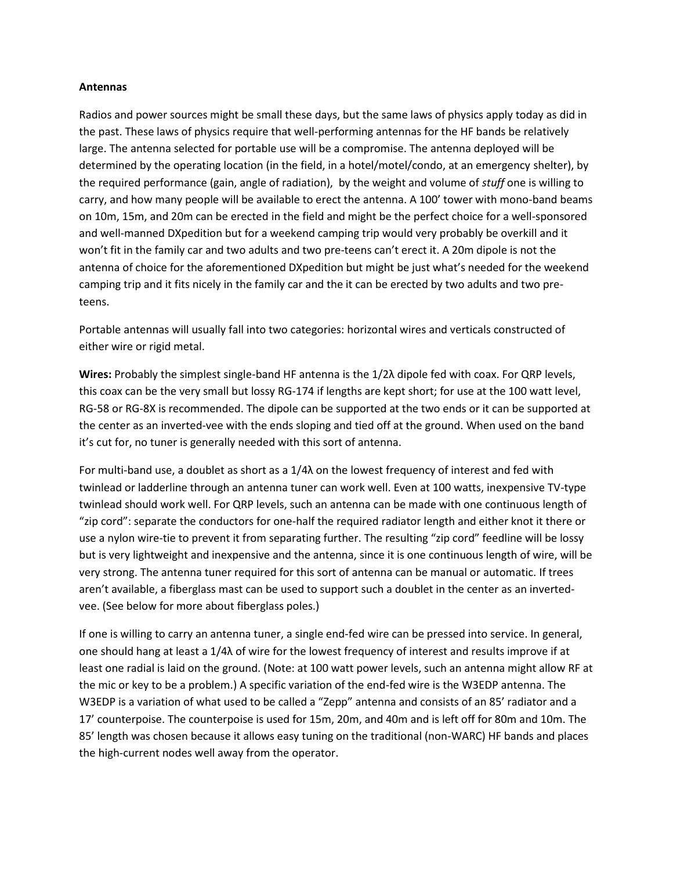#### **Antennas**

Radios and power sources might be small these days, but the same laws of physics apply today as did in the past. These laws of physics require that well-performing antennas for the HF bands be relatively large. The antenna selected for portable use will be a compromise. The antenna deployed will be determined by the operating location (in the field, in a hotel/motel/condo, at an emergency shelter), by the required performance (gain, angle of radiation), by the weight and volume of *stuff* one is willing to carry, and how many people will be available to erect the antenna. A 100' tower with mono-band beams on 10m, 15m, and 20m can be erected in the field and might be the perfect choice for a well-sponsored and well-manned DXpedition but for a weekend camping trip would very probably be overkill and it won't fit in the family car and two adults and two pre-teens can't erect it. A 20m dipole is not the antenna of choice for the aforementioned DXpedition but might be just what's needed for the weekend camping trip and it fits nicely in the family car and the it can be erected by two adults and two preteens.

Portable antennas will usually fall into two categories: horizontal wires and verticals constructed of either wire or rigid metal.

**Wires:** Probably the simplest single-band HF antenna is the 1/2λ dipole fed with coax. For QRP levels, this coax can be the very small but lossy RG-174 if lengths are kept short; for use at the 100 watt level, RG-58 or RG-8X is recommended. The dipole can be supported at the two ends or it can be supported at the center as an inverted-vee with the ends sloping and tied off at the ground. When used on the band it's cut for, no tuner is generally needed with this sort of antenna.

For multi-band use, a doublet as short as a 1/4λ on the lowest frequency of interest and fed with twinlead or ladderline through an antenna tuner can work well. Even at 100 watts, inexpensive TV-type twinlead should work well. For QRP levels, such an antenna can be made with one continuous length of "zip cord": separate the conductors for one-half the required radiator length and either knot it there or use a nylon wire-tie to prevent it from separating further. The resulting "zip cord" feedline will be lossy but is very lightweight and inexpensive and the antenna, since it is one continuous length of wire, will be very strong. The antenna tuner required for this sort of antenna can be manual or automatic. If trees aren't available, a fiberglass mast can be used to support such a doublet in the center as an invertedvee. (See below for more about fiberglass poles.)

If one is willing to carry an antenna tuner, a single end-fed wire can be pressed into service. In general, one should hang at least a 1/4λ of wire for the lowest frequency of interest and results improve if at least one radial is laid on the ground. (Note: at 100 watt power levels, such an antenna might allow RF at the mic or key to be a problem.) A specific variation of the end-fed wire is the W3EDP antenna. The W3EDP is a variation of what used to be called a "Zepp" antenna and consists of an 85' radiator and a 17' counterpoise. The counterpoise is used for 15m, 20m, and 40m and is left off for 80m and 10m. The 85' length was chosen because it allows easy tuning on the traditional (non-WARC) HF bands and places the high-current nodes well away from the operator.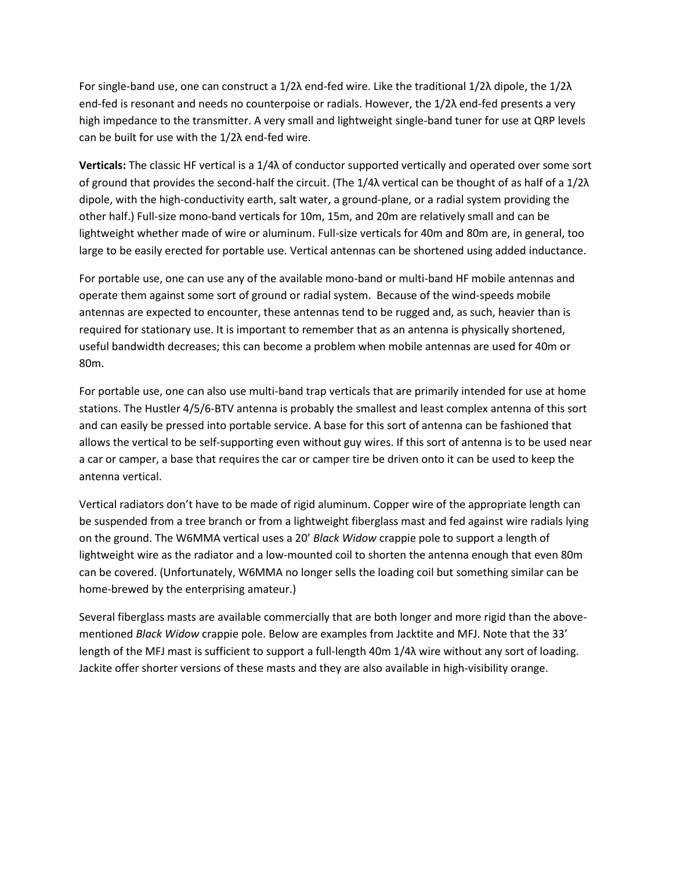For single-band use, one can construct a 1/2λ end-fed wire. Like the traditional 1/2λ dipole, the 1/2λ end-fed is resonant and needs no counterpoise or radials. However, the 1/2λ end-fed presents a very high impedance to the transmitter. A very small and lightweight single-band tuner for use at QRP levels can be built for use with the 1/2λ end-fed wire.

**Verticals:** The classic HF vertical is a 1/4λ of conductor supported vertically and operated over some sort of ground that provides the second-half the circuit. (The 1/4λ vertical can be thought of as half of a 1/2λ dipole, with the high-conductivity earth, salt water, a ground-plane, or a radial system providing the other half.) Full-size mono-band verticals for 10m, 15m, and 20m are relatively small and can be lightweight whether made of wire or aluminum. Full-size verticals for 40m and 80m are, in general, too large to be easily erected for portable use. Vertical antennas can be shortened using added inductance.

For portable use, one can use any of the available mono-band or multi-band HF mobile antennas and operate them against some sort of ground or radial system. Because of the wind-speeds mobile antennas are expected to encounter, these antennas tend to be rugged and, as such, heavier than is required for stationary use. It is important to remember that as an antenna is physically shortened, useful bandwidth decreases; this can become a problem when mobile antennas are used for 40m or 80m.

For portable use, one can also use multi-band trap verticals that are primarily intended for use at home stations. The Hustler 4/5/6-BTV antenna is probably the smallest and least complex antenna of this sort and can easily be pressed into portable service. A base for this sort of antenna can be fashioned that allows the vertical to be self-supporting even without guy wires. If this sort of antenna is to be used near a car or camper, a base that requires the car or camper tire be driven onto it can be used to keep the antenna vertical.

Vertical radiators don't have to be made of rigid aluminum. Copper wire of the appropriate length can be suspended from a tree branch or from a lightweight fiberglass mast and fed against wire radials lying on the ground. The W6MMA vertical uses a 20' *Black Widow* crappie pole to support a length of lightweight wire as the radiator and a low-mounted coil to shorten the antenna enough that even 80m can be covered. (Unfortunately, W6MMA no longer sells the loading coil but something similar can be home-brewed by the enterprising amateur.)

Several fiberglass masts are available commercially that are both longer and more rigid than the abovementioned *Black Widow* crappie pole. Below are examples from Jacktite and MFJ. Note that the 33' length of the MFJ mast is sufficient to support a full-length 40m 1/4λ wire without any sort of loading. Jackite offer shorter versions of these masts and they are also available in high-visibility orange.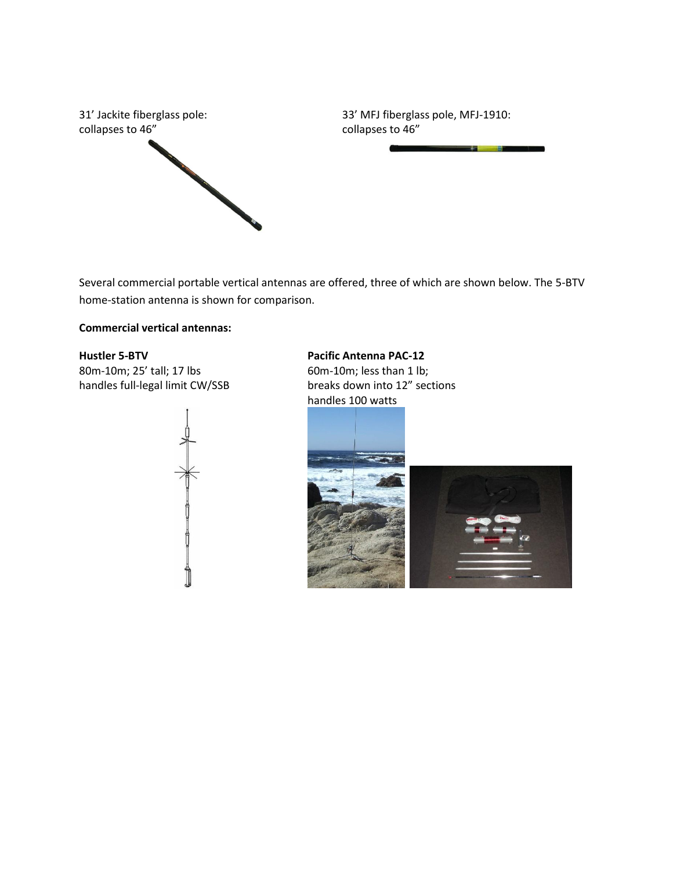

Several commercial portable vertical antennas are offered, three of which are shown below. The 5-BTV home-station antenna is shown for comparison.

## **Commercial vertical antennas:**

## **Hustler 5-BTV**

80m-10m; 25' tall; 17 lbs handles full-legal limit CW/SSB



**Pacific Antenna PAC-12**

60m-10m; less than 1 lb; breaks down into 12" sections handles 100 watts



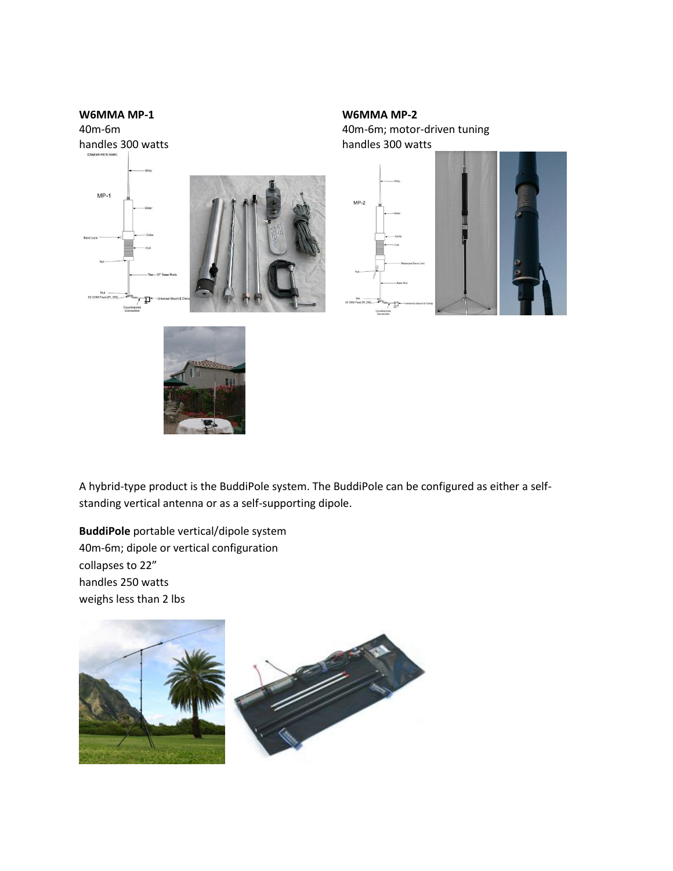

**W6MMA MP-2** 40m-6m; motor-driven tuning handles 300 watts



A hybrid-type product is the BuddiPole system. The BuddiPole can be configured as either a selfstanding vertical antenna or as a self-supporting dipole.

**BuddiPole** portable vertical/dipole system 40m-6m; dipole or vertical configuration collapses to 22" handles 250 watts weighs less than 2 lbs